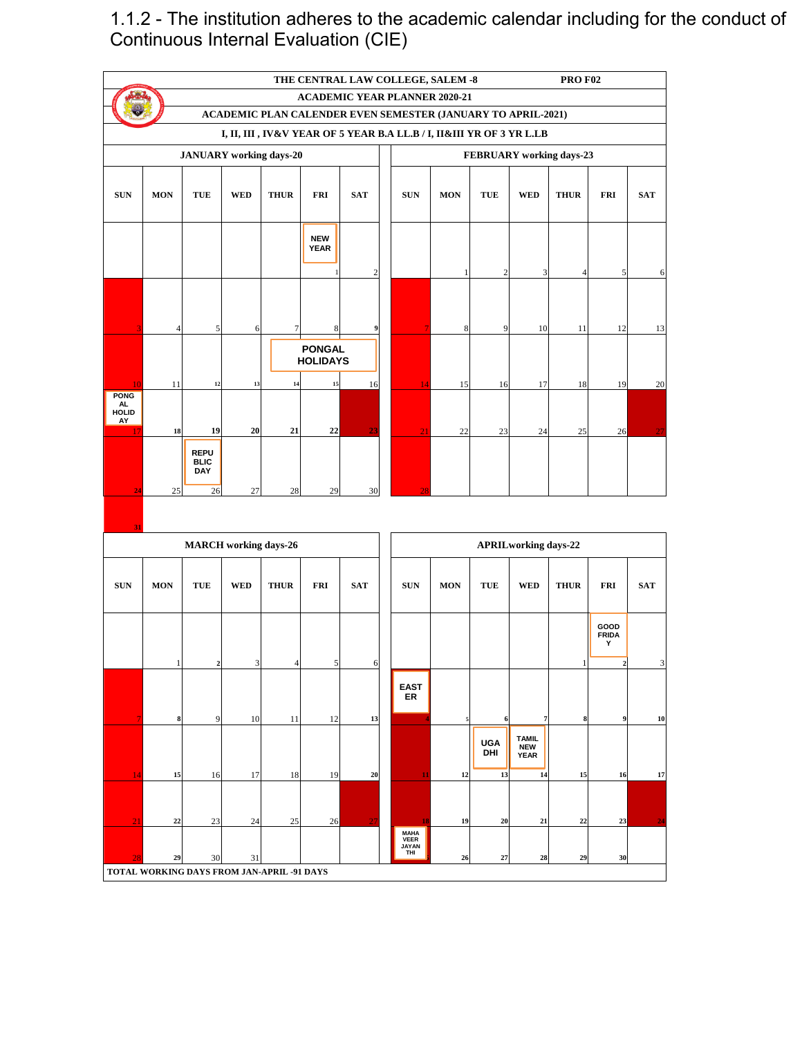1.1.2 - The institution adheres to the academic calendar including for the conduct of Continuous Internal Evaluation (CIE)

|                                         | <b>PRO F02</b><br>THE CENTRAL LAW COLLEGE, SALEM -8                                                  |                                            |            |                |                                        |            |  |                                                                       |            |                   |                                     |                |                           |            |  |  |  |
|-----------------------------------------|------------------------------------------------------------------------------------------------------|--------------------------------------------|------------|----------------|----------------------------------------|------------|--|-----------------------------------------------------------------------|------------|-------------------|-------------------------------------|----------------|---------------------------|------------|--|--|--|
|                                         | <b>ACADEMIC YEAR PLANNER 2020-21</b><br>ACADEMIC PLAN CALENDER EVEN SEMESTER (JANUARY TO APRIL-2021) |                                            |            |                |                                        |            |  |                                                                       |            |                   |                                     |                |                           |            |  |  |  |
|                                         |                                                                                                      |                                            |            |                |                                        |            |  |                                                                       |            |                   |                                     |                |                           |            |  |  |  |
|                                         |                                                                                                      |                                            |            |                |                                        |            |  | I, II, III , IV&V YEAR OF 5 YEAR B.A LL.B / I, II&III YR OF 3 YR L.LB |            |                   |                                     |                |                           |            |  |  |  |
| <b>JANUARY</b> working days-20          |                                                                                                      |                                            |            |                |                                        |            |  | FEBRUARY working days-23                                              |            |                   |                                     |                |                           |            |  |  |  |
|                                         |                                                                                                      |                                            |            |                |                                        |            |  |                                                                       |            |                   |                                     |                |                           |            |  |  |  |
| <b>SUN</b>                              | <b>MON</b>                                                                                           | TUE                                        | <b>WED</b> | <b>THUR</b>    | <b>FRI</b>                             | <b>SAT</b> |  | <b>SUN</b>                                                            | <b>MON</b> | TUE               | <b>WED</b>                          | <b>THUR</b>    | <b>FRI</b>                | <b>SAT</b> |  |  |  |
|                                         |                                                                                                      |                                            |            |                | <b>NEW</b><br><b>YEAR</b>              | $\sqrt{2}$ |  |                                                                       | 1          | $\overline{2}$    | 3                                   | $\overline{4}$ | 5                         | 6          |  |  |  |
|                                         | 4                                                                                                    | $\sqrt{5}$                                 | 6          | $\overline{7}$ | 8                                      | 9          |  | $\overline{7}$                                                        | 8          | 9                 | 10                                  | 11             | 12                        | 13         |  |  |  |
| 10                                      | 11                                                                                                   | $12\,$                                     | 13         | 14             | <b>PONGAL</b><br><b>HOLIDAYS</b><br>15 | 16         |  | 14                                                                    | 15         | 16                | 17                                  | 18             | 19                        | 20         |  |  |  |
| <b>PONG</b><br>AL<br><b>HOLID</b><br>AY |                                                                                                      |                                            |            |                |                                        |            |  |                                                                       |            |                   |                                     |                |                           |            |  |  |  |
| -17                                     | 18                                                                                                   | 19                                         | 20         | 21             | 22                                     | 23         |  | 21                                                                    | 22         | 23                | 24                                  | 25             | 26                        | 27         |  |  |  |
| 24                                      | 25                                                                                                   | <b>REPU</b><br><b>BLIC</b><br>DAY<br>26    | $27\,$     | 28             | 29                                     | 30         |  | 28                                                                    |            |                   |                                     |                |                           |            |  |  |  |
|                                         |                                                                                                      |                                            |            |                |                                        |            |  |                                                                       |            |                   |                                     |                |                           |            |  |  |  |
| 31                                      |                                                                                                      | <b>MARCH</b> working days-26               |            |                |                                        |            |  |                                                                       |            |                   | <b>APRILworking days-22</b>         |                |                           |            |  |  |  |
|                                         |                                                                                                      |                                            |            |                |                                        |            |  |                                                                       |            |                   |                                     |                |                           |            |  |  |  |
| <b>SUN</b>                              | <b>MON</b>                                                                                           | <b>TUE</b>                                 | <b>WED</b> | <b>THUR</b>    | <b>FRI</b>                             | <b>SAT</b> |  | <b>SUN</b>                                                            | <b>MON</b> | <b>TUE</b>        | <b>WED</b>                          | <b>THUR</b>    | <b>FRI</b>                | <b>SAT</b> |  |  |  |
|                                         |                                                                                                      |                                            |            |                |                                        |            |  |                                                                       |            |                   |                                     |                | GOOD<br><b>FRIDA</b><br>Y |            |  |  |  |
|                                         | 1                                                                                                    | $\mathbf{2}$                               | 3          | $\overline{4}$ | $\mathfrak{S}$                         | 6          |  |                                                                       |            |                   |                                     | 1              | $\mathbf 2$               | 3          |  |  |  |
| $\overline{7}$                          | 8                                                                                                    | 9                                          | 10         | 11             | 12                                     | 13         |  | <b>EAST</b><br>ER                                                     | ź.         | 6                 | $\overline{7}$                      | 8              | 9                         | 10         |  |  |  |
|                                         |                                                                                                      |                                            |            |                |                                        |            |  |                                                                       |            | <b>UGA</b><br>DHI | <b>TAMIL<br/>NEW</b><br><b>YEAR</b> |                |                           |            |  |  |  |
| 14                                      | 15                                                                                                   | 16                                         | 17         | 18             | 19                                     | 20         |  | 11                                                                    | 12         | 13                | 14                                  | 15             | 16                        | 17         |  |  |  |
| 21                                      | 22                                                                                                   | 23                                         | 24         | 25             | 26                                     | າາ         |  | 18                                                                    | 19         | 20                | $\bf{21}$                           | 22             | 23                        | 24         |  |  |  |
| 28                                      | 29                                                                                                   | 30                                         | 31         |                |                                        |            |  | <b>MAHA</b><br><b>VEER</b><br><b>JAYAN</b><br>THI                     | 26         | 27                | 28                                  | 29             | 30                        |            |  |  |  |
|                                         |                                                                                                      | TOTAL WORKING DAYS FROM JAN-APRIL -91 DAYS |            |                |                                        |            |  |                                                                       |            |                   |                                     |                |                           |            |  |  |  |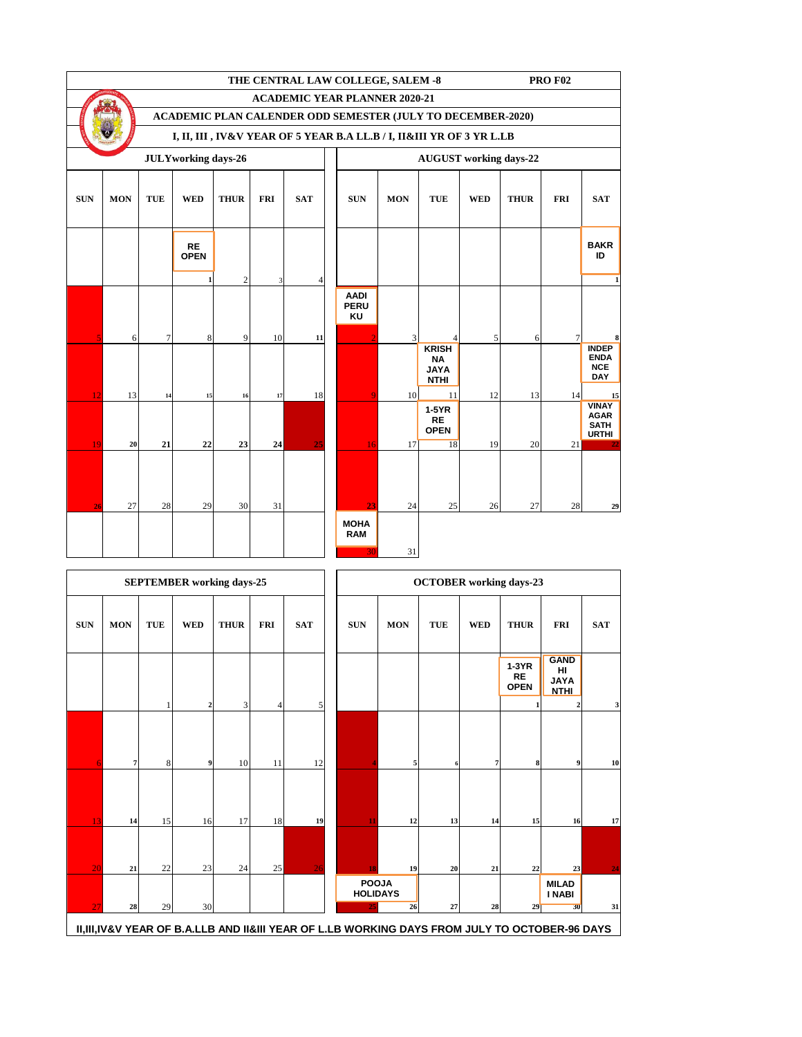|            |            |            |                            |                |            |            | THE CENTRAL LAW COLLEGE, SALEM -8<br><b>PRO F02</b>                   |            |                                                         |            |             |                |                                                            |  |  |  |
|------------|------------|------------|----------------------------|----------------|------------|------------|-----------------------------------------------------------------------|------------|---------------------------------------------------------|------------|-------------|----------------|------------------------------------------------------------|--|--|--|
|            |            |            |                            |                |            |            | <b>ACADEMIC YEAR PLANNER 2020-21</b>                                  |            |                                                         |            |             |                |                                                            |  |  |  |
|            |            |            |                            |                |            |            | ACADEMIC PLAN CALENDER ODD SEMESTER (JULY TO DECEMBER-2020)           |            |                                                         |            |             |                |                                                            |  |  |  |
|            |            |            |                            |                |            |            | I, II, III , IV&V YEAR OF 5 YEAR B.A LL.B / I, II&III YR OF 3 YR L.LB |            |                                                         |            |             |                |                                                            |  |  |  |
|            |            |            | <b>JULYworking days-26</b> |                |            |            |                                                                       |            | <b>AUGUST</b> working days-22                           |            |             |                |                                                            |  |  |  |
| <b>SUN</b> | <b>MON</b> | <b>TUE</b> | <b>WED</b>                 | <b>THUR</b>    | <b>FRI</b> | <b>SAT</b> | <b>SUN</b>                                                            | <b>MON</b> | <b>TUE</b>                                              | <b>WED</b> | <b>THUR</b> | <b>FRI</b>     | <b>SAT</b>                                                 |  |  |  |
|            |            |            | <b>RE</b><br><b>OPEN</b>   |                |            |            |                                                                       |            |                                                         |            |             |                | <b>BAKR</b><br>ID                                          |  |  |  |
|            |            |            | $\mathbf{1}$               | $\overline{c}$ | 3          | 4          |                                                                       |            |                                                         |            |             |                | $\mathbf{1}$                                               |  |  |  |
|            |            |            |                            |                |            |            | <b>AADI</b><br><b>PERU</b><br>KU                                      |            |                                                         |            |             |                |                                                            |  |  |  |
|            | 6          | $\tau$     | 8                          | 9              | 10         | 11         |                                                                       | 3          | 4                                                       | 5          | 6           | 7 <sup>1</sup> | 8                                                          |  |  |  |
|            |            |            |                            |                |            |            |                                                                       |            | <b>KRISH</b><br><b>NA</b><br><b>JAYA</b><br><b>NTHI</b> |            |             |                | <b>INDEP</b><br><b>ENDA</b><br><b>NCE</b><br><b>DAY</b>    |  |  |  |
| 12         | 13         | 14         | 15                         | 16             | $17\,$     | 18         |                                                                       | 10         | 11                                                      | 12         | 13          | 14             | 15                                                         |  |  |  |
|            |            |            |                            |                |            |            |                                                                       |            | $1-5YR$<br><b>RE</b><br><b>OPEN</b>                     |            |             |                | <b>VINAY</b><br><b>AGAR</b><br><b>SATH</b><br><b>URTHI</b> |  |  |  |
| 19         | 20         | 21         | 22                         | 23             | 24         | 25         | 16                                                                    | 17         | 18                                                      | 19         | 20          | 21             |                                                            |  |  |  |
| 26         | 27         | 28         | 29                         | 30             | 31         |            | 23                                                                    | 24         | 25                                                      | 26         | 27          | 28             | 29                                                         |  |  |  |
|            |            |            |                            |                |            |            | <b>MOHA</b><br><b>RAM</b>                                             | 31         |                                                         |            |             |                |                                                            |  |  |  |

|            |                |            | <b>SEPTEMBER</b> working days-25 |             |            |            |                                                                                                                                        |            |            |            | <b>OCTOBER</b> working days-23      |                                                 |            |
|------------|----------------|------------|----------------------------------|-------------|------------|------------|----------------------------------------------------------------------------------------------------------------------------------------|------------|------------|------------|-------------------------------------|-------------------------------------------------|------------|
| <b>SUN</b> | <b>MON</b>     | <b>TUE</b> | <b>WED</b>                       | <b>THUR</b> | <b>FRI</b> | <b>SAT</b> | <b>SUN</b>                                                                                                                             | <b>MON</b> | <b>TUE</b> | <b>WED</b> | <b>THUR</b>                         | <b>FRI</b>                                      | <b>SAT</b> |
|            |                |            | $\mathbf{2}$                     | 3           | 4          | 5          |                                                                                                                                        |            |            |            | $1-3YR$<br><b>RE</b><br><b>OPEN</b> | <b>GAND</b><br>HI<br><b>JAYA</b><br><b>NTHI</b> | 3          |
| 6          | $7\phantom{.}$ | 8          | $\boldsymbol{9}$                 | 10          | 11         | 12         |                                                                                                                                        | 5          | 6          | 7          | 8                                   | 9                                               | 10         |
| 13         | 14             | 15         | 16                               | 17          | 18         | 19         | 11                                                                                                                                     | 12         | 13         | 14         | 15                                  | 16                                              | 17         |
| 20         | 21             | 22         | 23                               | 24          | 25         | 26         | 18                                                                                                                                     | 19         | 20         | 21         | 22                                  | 23                                              | 24         |
| 27         | 28             | 29         | 30                               |             |            |            | <b>POOJA</b><br><b>HOLIDAYS</b><br>25<br>II,III,IV&V YEAR OF B.A.LLB AND II&III YEAR OF L.LB WORKING DAYS FROM JULY TO OCTOBER-96 DAYS | 26         | $27\,$     | 28         | 29                                  | <b>MILAD</b><br><b>I NABI</b><br>30             | 31         |